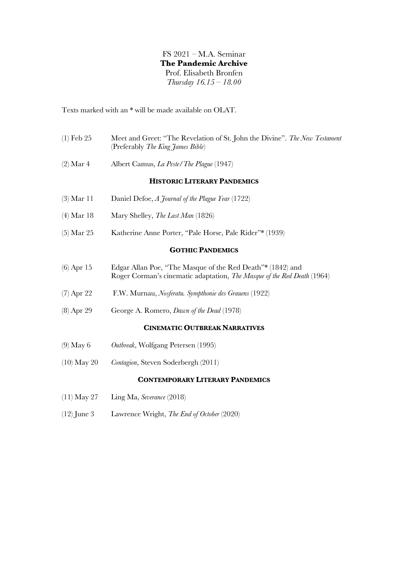FS 2021 – M.A. Seminar **The Pandemic Archive**  Prof. Elisabeth Bronfen *Thursday 16.15 – 18.00*

Texts marked with an \* will be made available on OLAT.

| $(1)$ Feb 25  | Meet and Greet: "The Revelation of St. John the Divine". The New Testament<br>(Preferably The King James Bible)                       |
|---------------|---------------------------------------------------------------------------------------------------------------------------------------|
| $(2)$ Mar 4   | Albert Camus, <i>La Peste/The Plague</i> (1947)                                                                                       |
|               | <b>HISTORIC LITERARY PANDEMICS</b>                                                                                                    |
| $(3)$ Mar 11  | Daniel Defoe, A Journal of the Plague Year (1722)                                                                                     |
| $(4)$ Mar 18  | Mary Shelley, The Last Man (1826)                                                                                                     |
| $(5)$ Mar 25  | Katherine Anne Porter, "Pale Horse, Pale Rider"* (1939)                                                                               |
|               | <b>GOTHIC PANDEMICS</b>                                                                                                               |
| $(6)$ Apr 15  | Edgar Allan Poe, "The Masque of the Red Death"* (1842) and<br>Roger Corman's cinematic adaptation, The Masque of the Red Death (1964) |
| $(7)$ Apr 22  | F.W. Murnau, <i>Nosferatu. Sympthonie des Grauens</i> (1922)                                                                          |
| $(8)$ Apr 29  | George A. Romero, <i>Dawn of the Dead</i> (1978)                                                                                      |
|               | <b>CINEMATIC OUTBREAK NARRATIVES</b>                                                                                                  |
| $(9)$ May 6   | Outbreak, Wolfgang Petersen (1995)                                                                                                    |
| $(10)$ May 20 | Contagion, Steven Soderbergh (2011)                                                                                                   |
|               | <b>CONTEMPORARY LITERARY PANDEMICS</b>                                                                                                |
| $(11)$ May 27 | Ling Ma, Severance (2018)                                                                                                             |
| $(12)$ June 3 | Lawrence Wright, The End of October (2020)                                                                                            |